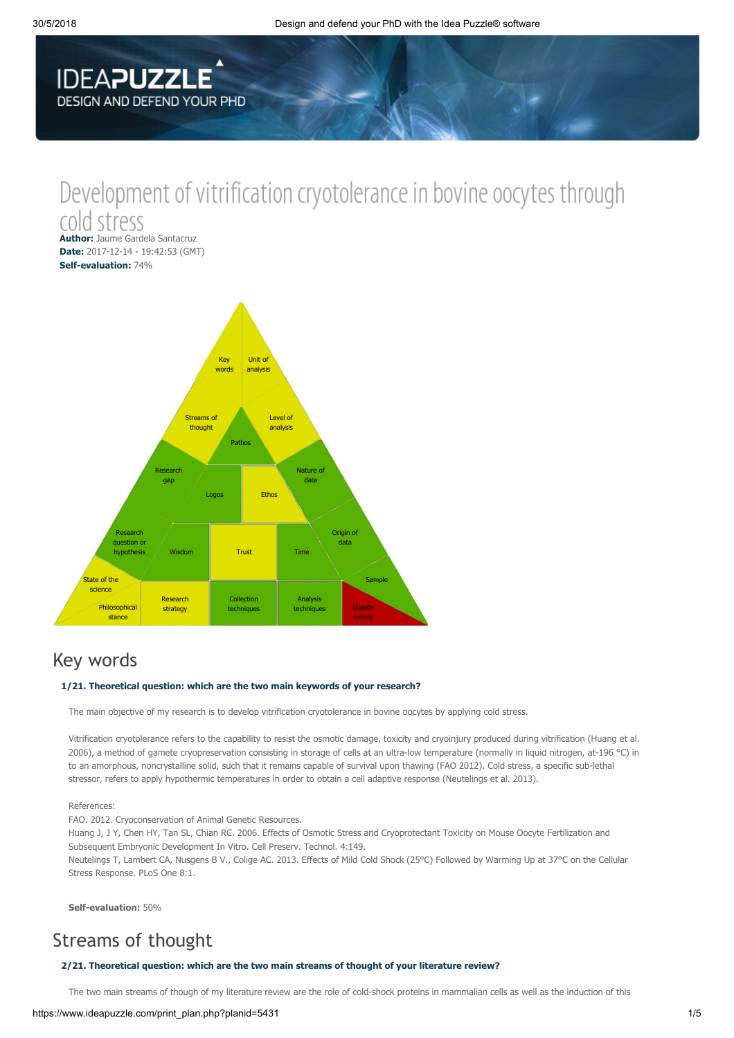# **IDEAPUZZLE DESIGN AND DEFEND YOUR PHD**

# Development of vitrification cryotolerance in bovine oocytes through cold stress

Author: Jaume Gardela Santacruz Date: 2017-12-14 - 19:42:53 (GMT) Self-evaluation: 74%



# Key words

### 1/21. Theoretical question: which are the two main keywords of your research?

The main objective of my research is to develop vitrification cryotolerance in bovine oocytes by applying cold stress.

Vitrification cryotolerance refers to the capability to resist the osmotic damage, toxicity and cryoinjury produced during vitrification (Huang et al. 2006), a method of gamete cryopreservation consisting in storage of cells at an ultra-low temperature (normally in liquid nitrogen, at-196 °C) in to an amorphous, noncrystalline solid, such that it remains capable of survival upon thawing (FAO 2012). Cold stress, a specific sub-lethal stressor, refers to apply hypothermic temperatures in order to obtain a cell adaptive response (Neutelings et al. 2013).

### References:

FAO. 2012. Cryoconservation of Animal Genetic Resources.

Huang J, J Y, Chen HY, Tan SL, Chian RC. 2006. Effects of Osmotic Stress and Cryoprotectant Toxicity on Mouse Oocyte Fertilization and Subsequent Embryonic Development In Vitro. Cell Preserv. Technol. 4:149.

Neutelings T, Lambert CA, Nusgens B V., Colige AC. 2013. Effects of Mild Cold Shock (25°C) Followed by Warming Up at 37°C on the Cellular Stress Response. PLoS One 8:1.

Self-evaluation: 50%

# Streams of thought

### 2/21. Theoretical question: which are the two main streams of thought of your literature review?

The two main streams of though of my literature review are the role of cold-shock proteins in mammalian cells as well as the induction of this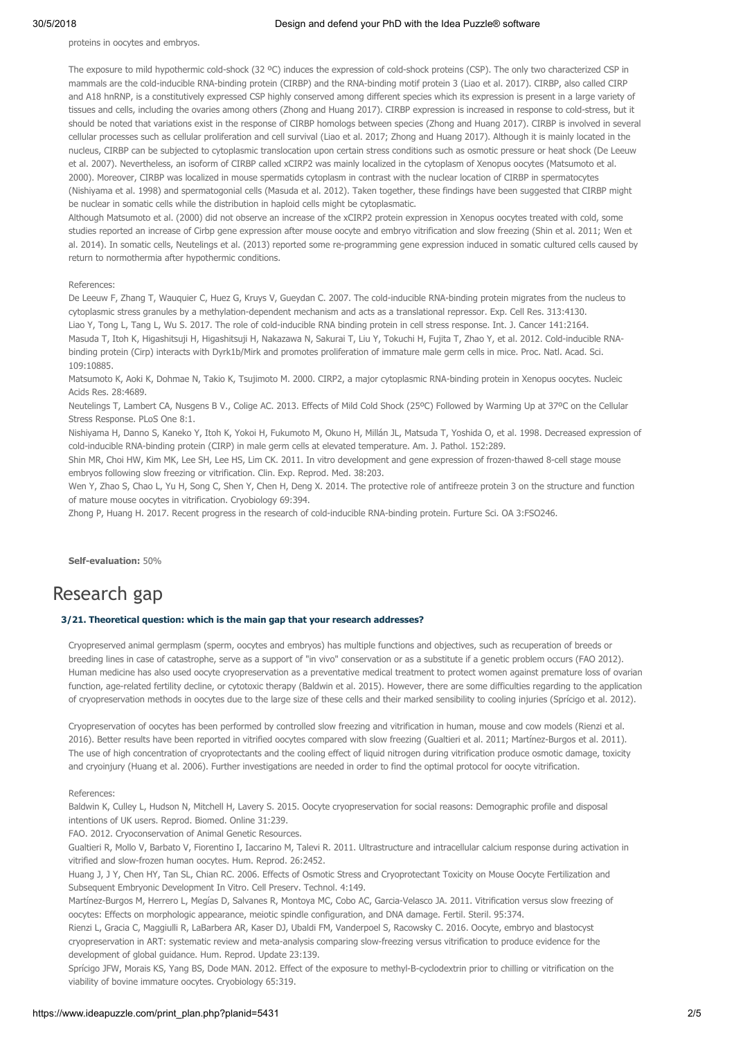proteins in oocytes and embryos.

The exposure to mild hypothermic cold-shock (32 ºC) induces the expression of cold-shock proteins (CSP). The only two characterized CSP in mammals are the cold-inducible RNA-binding protein (CIRBP) and the RNA-binding motif protein 3 (Liao et al. 2017). CIRBP, also called CIRP and A18 hnRNP, is a constitutively expressed CSP highly conserved among different species which its expression is present in a large variety of tissues and cells, including the ovaries among others (Zhong and Huang 2017). CIRBP expression is increased in response to cold-stress, but it should be noted that variations exist in the response of CIRBP homologs between species (Zhong and Huang 2017). CIRBP is involved in several cellular processes such as cellular proliferation and cell survival (Liao et al. 2017; Zhong and Huang 2017). Although it is mainly located in the nucleus, CIRBP can be subjected to cytoplasmic translocation upon certain stress conditions such as osmotic pressure or heat shock (De Leeuw et al. 2007). Nevertheless, an isoform of CIRBP called xCIRP2 was mainly localized in the cytoplasm of Xenopus oocytes (Matsumoto et al. 2000). Moreover, CIRBP was localized in mouse spermatids cytoplasm in contrast with the nuclear location of CIRBP in spermatocytes (Nishiyama et al. 1998) and spermatogonial cells (Masuda et al. 2012). Taken together, these findings have been suggested that CIRBP might be nuclear in somatic cells while the distribution in haploid cells might be cytoplasmatic.

Although Matsumoto et al. (2000) did not observe an increase of the xCIRP2 protein expression in Xenopus oocytes treated with cold, some studies reported an increase of Cirbp gene expression after mouse oocyte and embryo vitrification and slow freezing (Shin et al. 2011; Wen et al. 2014). In somatic cells, Neutelings et al. (2013) reported some re-programming gene expression induced in somatic cultured cells caused by return to normothermia after hypothermic conditions.

#### References:

De Leeuw F, Zhang T, Wauquier C, Huez G, Kruys V, Gueydan C. 2007. The cold-inducible RNA-binding protein migrates from the nucleus to cytoplasmic stress granules by a methylation-dependent mechanism and acts as a translational repressor. Exp. Cell Res. 313:4130. Liao Y, Tong L, Tang L, Wu S. 2017. The role of cold-inducible RNA binding protein in cell stress response. Int. J. Cancer 141:2164. Masuda T, Itoh K, Higashitsuji H, Higashitsuji H, Nakazawa N, Sakurai T, Liu Y, Tokuchi H, Fujita T, Zhao Y, et al. 2012. Cold-inducible RNAbinding protein (Cirp) interacts with Dyrk1b/Mirk and promotes proliferation of immature male germ cells in mice. Proc. Natl. Acad. Sci. 109:10885.

Matsumoto K, Aoki K, Dohmae N, Takio K, Tsujimoto M. 2000. CIRP2, a major cytoplasmic RNA-binding protein in Xenopus oocytes. Nucleic Acids Res. 28:4689.

Neutelings T, Lambert CA, Nusgens B V., Colige AC. 2013. Effects of Mild Cold Shock (25ºC) Followed by Warming Up at 37ºC on the Cellular Stress Response. PLoS One 8:1.

Nishiyama H, Danno S, Kaneko Y, Itoh K, Yokoi H, Fukumoto M, Okuno H, Millán JL, Matsuda T, Yoshida O, et al. 1998. Decreased expression of cold-inducible RNA-binding protein (CIRP) in male germ cells at elevated temperature. Am. J. Pathol. 152:289.

Shin MR, Choi HW, Kim MK, Lee SH, Lee HS, Lim CK. 2011. In vitro development and gene expression of frozen-thawed 8-cell stage mouse embryos following slow freezing or vitrification. Clin. Exp. Reprod. Med. 38:203.

Wen Y, Zhao S, Chao L, Yu H, Song C, Shen Y, Chen H, Deng X. 2014. The protective role of antifreeze protein 3 on the structure and function of mature mouse oocytes in vitrification. Cryobiology 69:394.

Zhong P, Huang H. 2017. Recent progress in the research of cold-inducible RNA-binding protein. Furture Sci. OA 3:FSO246.

Self-evaluation: 50%

# Research gap

#### 3/21. Theoretical question: which is the main gap that your research addresses?

Cryopreserved animal germplasm (sperm, oocytes and embryos) has multiple functions and objectives, such as recuperation of breeds or breeding lines in case of catastrophe, serve as a support of "in vivo" conservation or as a substitute if a genetic problem occurs (FAO 2012). Human medicine has also used oocyte cryopreservation as a preventative medical treatment to protect women against premature loss of ovarian function, age-related fertility decline, or cytotoxic therapy (Baldwin et al. 2015). However, there are some difficulties regarding to the application of cryopreservation methods in oocytes due to the large size of these cells and their marked sensibility to cooling injuries (Sprícigo et al. 2012).

Cryopreservation of oocytes has been performed by controlled slow freezing and vitrification in human, mouse and cow models (Rienzi et al. 2016). Better results have been reported in vitrified oocytes compared with slow freezing (Gualtieri et al. 2011; Martínez-Burgos et al. 2011). The use of high concentration of cryoprotectants and the cooling effect of liquid nitrogen during vitrification produce osmotic damage, toxicity and cryoinjury (Huang et al. 2006). Further investigations are needed in order to find the optimal protocol for oocyte vitrification.

References:

Baldwin K, Culley L, Hudson N, Mitchell H, Lavery S. 2015. Oocyte cryopreservation for social reasons: Demographic profile and disposal intentions of UK users. Reprod. Biomed. Online 31:239.

FAO. 2012. Cryoconservation of Animal Genetic Resources.

Gualtieri R, Mollo V, Barbato V, Fiorentino I, Iaccarino M, Talevi R. 2011. Ultrastructure and intracellular calcium response during activation in vitrified and slow-frozen human oocytes. Hum. Reprod. 26:2452.

Huang J, J Y, Chen HY, Tan SL, Chian RC. 2006. Effects of Osmotic Stress and Cryoprotectant Toxicity on Mouse Oocyte Fertilization and Subsequent Embryonic Development In Vitro. Cell Preserv. Technol. 4:149.

Martínez-Burgos M, Herrero L, Megías D, Salvanes R, Montoya MC, Cobo AC, Garcia-Velasco JA. 2011. Vitrification versus slow freezing of oocytes: Effects on morphologic appearance, meiotic spindle configuration, and DNA damage. Fertil. Steril. 95:374.

Rienzi L, Gracia C, Maggiulli R, LaBarbera AR, Kaser DJ, Ubaldi FM, Vanderpoel S, Racowsky C. 2016. Oocyte, embryo and blastocyst cryopreservation in ART: systematic review and meta-analysis comparing slow-freezing versus vitrification to produce evidence for the development of global guidance. Hum. Reprod. Update 23:139.

Sprícigo JFW, Morais KS, Yang BS, Dode MAN. 2012. Effect of the exposure to methyl-B-cyclodextrin prior to chilling or vitrification on the viability of bovine immature oocytes. Cryobiology 65:319.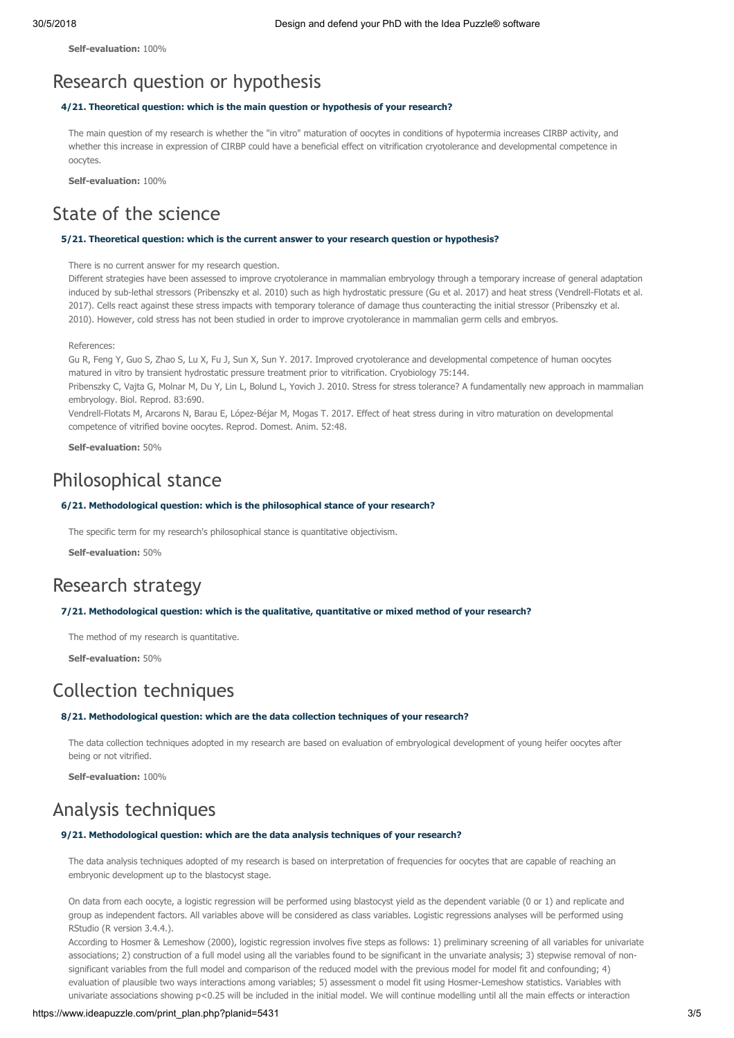Self-evaluation: 100%

# Research question or hypothesis

### 4/21. Theoretical question: which is the main question or hypothesis of your research?

The main question of my research is whether the "in vitro" maturation of oocytes in conditions of hypotermia increases CIRBP activity, and whether this increase in expression of CIRBP could have a beneficial effect on vitrification cryotolerance and developmental competence in oocytes.

Self-evaluation: 100%

# State of the science

### 5/21. Theoretical question: which is the current answer to your research question or hypothesis?

There is no current answer for my research question.

Different strategies have been assessed to improve cryotolerance in mammalian embryology through a temporary increase of general adaptation induced by sub-lethal stressors (Pribenszky et al. 2010) such as high hydrostatic pressure (Gu et al. 2017) and heat stress (Vendrell-Flotats et al. 2017). Cells react against these stress impacts with temporary tolerance of damage thus counteracting the initial stressor (Pribenszky et al. 2010). However, cold stress has not been studied in order to improve cryotolerance in mammalian germ cells and embryos.

References:

Gu R, Feng Y, Guo S, Zhao S, Lu X, Fu J, Sun X, Sun Y. 2017. Improved cryotolerance and developmental competence of human oocytes matured in vitro by transient hydrostatic pressure treatment prior to vitrification. Cryobiology 75:144.

Pribenszky C, Vajta G, Molnar M, Du Y, Lin L, Bolund L, Yovich J. 2010. Stress for stress tolerance? A fundamentally new approach in mammalian embryology. Biol. Reprod. 83:690.

Vendrell-Flotats M, Arcarons N, Barau E, López-Béjar M, Mogas T. 2017. Effect of heat stress during in vitro maturation on developmental competence of vitrified bovine oocytes. Reprod. Domest. Anim. 52:48.

Self-evaluation: 50%

# Philosophical stance

### 6/21. Methodological question: which is the philosophical stance of your research?

The specific term for my research's philosophical stance is quantitative objectivism.

Self-evaluation: 50%

# Research strategy

### 7/21. Methodological question: which is the qualitative, quantitative or mixed method of your research?

The method of my research is quantitative.

Self-evaluation: 50%

# Collection techniques

### 8/21. Methodological question: which are the data collection techniques of your research?

The data collection techniques adopted in my research are based on evaluation of embryological development of young heifer oocytes after being or not vitrified.

Self-evaluation: 100%

# Analysis techniques

### 9/21. Methodological question: which are the data analysis techniques of your research?

The data analysis techniques adopted of my research is based on interpretation of frequencies for oocytes that are capable of reaching an embryonic development up to the blastocyst stage.

On data from each oocyte, a logistic regression will be performed using blastocyst yield as the dependent variable (0 or 1) and replicate and group as independent factors. All variables above will be considered as class variables. Logistic regressions analyses will be performed using RStudio (R version 3.4.4.).

According to Hosmer & Lemeshow (2000), logistic regression involves five steps as follows: 1) preliminary screening of all variables for univariate associations; 2) construction of a full model using all the variables found to be significant in the unvariate analysis; 3) stepwise removal of nonsignificant variables from the full model and comparison of the reduced model with the previous model for model fit and confounding; 4) evaluation of plausible two ways interactions among variables; 5) assessment o model fit using Hosmer-Lemeshow statistics. Variables with univariate associations showing p<0.25 will be included in the initial model. We will continue modelling until all the main effects or interaction

### https://www.ideapuzzle.com/print\_plan.php?planid=5431 3/5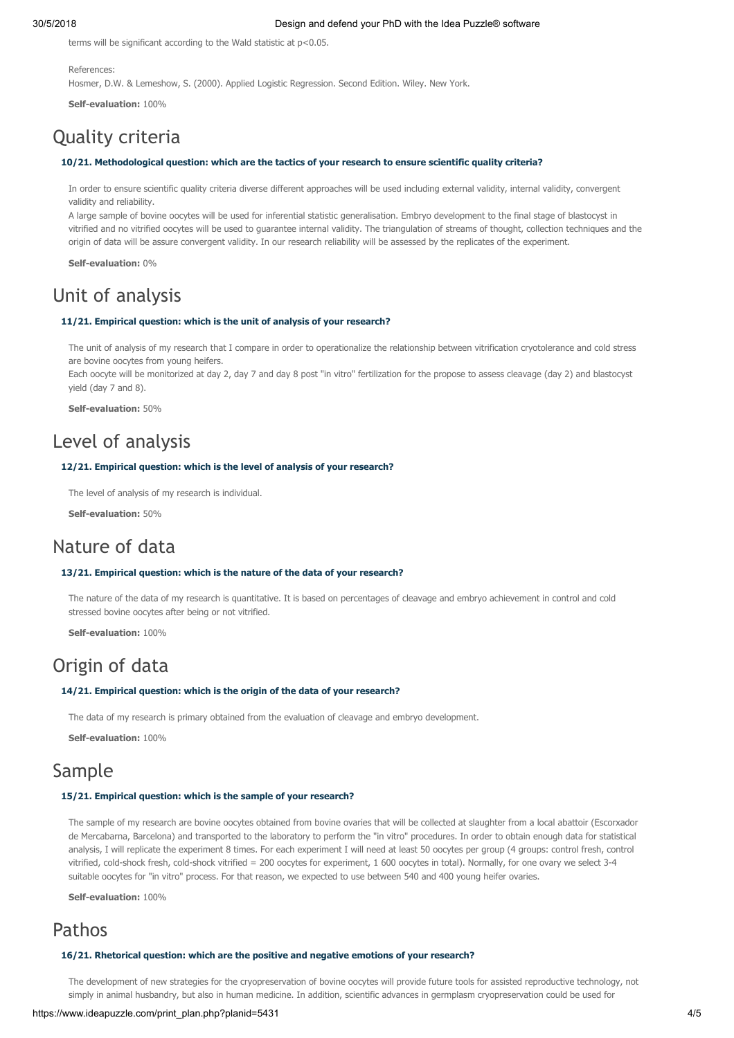terms will be significant according to the Wald statistic at p<0.05.

References:

Hosmer, D.W. & Lemeshow, S. (2000). Applied Logistic Regression. Second Edition. Wiley. New York.

Self-evaluation: 100%

# Quality criteria

#### 10/21. Methodological question: which are the tactics of your research to ensure scientific quality criteria?

In order to ensure scientific quality criteria diverse different approaches will be used including external validity, internal validity, convergent validity and reliability.

A large sample of bovine oocytes will be used for inferential statistic generalisation. Embryo development to the final stage of blastocyst in vitrified and no vitrified oocytes will be used to guarantee internal validity. The triangulation of streams of thought, collection techniques and the origin of data will be assure convergent validity. In our research reliability will be assessed by the replicates of the experiment.

Self-evaluation: 0%

# Unit of analysis

#### 11/21. Empirical question: which is the unit of analysis of your research?

The unit of analysis of my research that I compare in order to operationalize the relationship between vitrification cryotolerance and cold stress are bovine oocytes from young heifers.

Each oocyte will be monitorized at day 2, day 7 and day 8 post "in vitro" fertilization for the propose to assess cleavage (day 2) and blastocyst yield (day 7 and 8).

Self-evaluation: 50%

# Level of analysis

### 12/21. Empirical question: which is the level of analysis of your research?

The level of analysis of my research is individual.

Self-evaluation: 50%

# Nature of data

### 13/21. Empirical question: which is the nature of the data of your research?

The nature of the data of my research is quantitative. It is based on percentages of cleavage and embryo achievement in control and cold stressed bovine oocytes after being or not vitrified.

Self-evaluation: 100%

# Origin of data

### 14/21. Empirical question: which is the origin of the data of your research?

The data of my research is primary obtained from the evaluation of cleavage and embryo development.

Self-evaluation: 100%

### Sample

#### 15/21. Empirical question: which is the sample of your research?

The sample of my research are bovine oocytes obtained from bovine ovaries that will be collected at slaughter from a local abattoir (Escorxador de Mercabarna, Barcelona) and transported to the laboratory to perform the "in vitro" procedures. In order to obtain enough data for statistical analysis, I will replicate the experiment 8 times. For each experiment I will need at least 50 oocytes per group (4 groups: control fresh, control vitrified, cold-shock fresh, cold-shock vitrified = 200 oocytes for experiment, 1 600 oocytes in total). Normally, for one ovary we select 3-4 suitable oocytes for "in vitro" process. For that reason, we expected to use between 540 and 400 young heifer ovaries.

Self-evaluation: 100%

# Pathos

#### 16/21. Rhetorical question: which are the positive and negative emotions of your research?

The development of new strategies for the cryopreservation of bovine oocytes will provide future tools for assisted reproductive technology, not simply in animal husbandry, but also in human medicine. In addition, scientific advances in germplasm cryopreservation could be used for